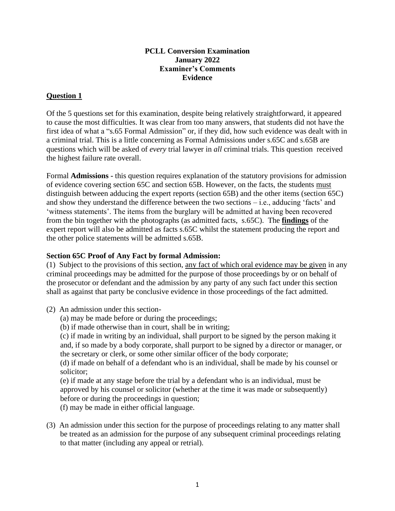#### **PCLL Conversion Examination January 2022 Examiner's Comments Evidence**

#### **Question 1**

Of the 5 questions set for this examination, despite being relatively straightforward, it appeared to cause the most difficulties. It was clear from too many answers, that students did not have the first idea of what a "s.65 Formal Admission" or, if they did, how such evidence was dealt with in a criminal trial. This is a little concerning as Formal Admissions under s.65C and s.65B are questions which will be asked of *every* trial lawyer in *all* criminal trials. This question received the highest failure rate overall.

Formal **Admissions -** this question requires explanation of the statutory provisions for admission of evidence covering section 65C and section 65B. However, on the facts, the students must distinguish between adducing the expert reports (section 65B) and the other items (section 65C) and show they understand the difference between the two sections – i.e., adducing 'facts' and 'witness statements'. The items from the burglary will be admitted at having been recovered from the bin together with the photographs (as admitted facts, s.65C). The **findings** of the expert report will also be admitted as facts s.65C whilst the statement producing the report and the other police statements will be admitted s.65B.

#### **Section 65C Proof of Any Fact by formal Admission:**

(1) Subject to the provisions of this section, any fact of which oral evidence may be given in any criminal proceedings may be admitted for the purpose of those proceedings by or on behalf of the prosecutor or defendant and the admission by any party of any such fact under this section shall as against that party be conclusive evidence in those proceedings of the fact admitted.

- (2) An admission under this section-
	- (a) may be made before or during the proceedings;
	- (b) if made otherwise than in court, shall be in writing;

(c) if made in writing by an individual, shall purport to be signed by the person making it and, if so made by a body corporate, shall purport to be signed by a director or manager, or the secretary or clerk, or some other similar officer of the body corporate;

(d) if made on behalf of a defendant who is an individual, shall be made by his counsel or solicitor;

(e) if made at any stage before the trial by a defendant who is an individual, must be approved by his counsel or solicitor (whether at the time it was made or subsequently) before or during the proceedings in question;

(f) may be made in either official language.

(3) An admission under this section for the purpose of proceedings relating to any matter shall be treated as an admission for the purpose of any subsequent criminal proceedings relating to that matter (including any appeal or retrial).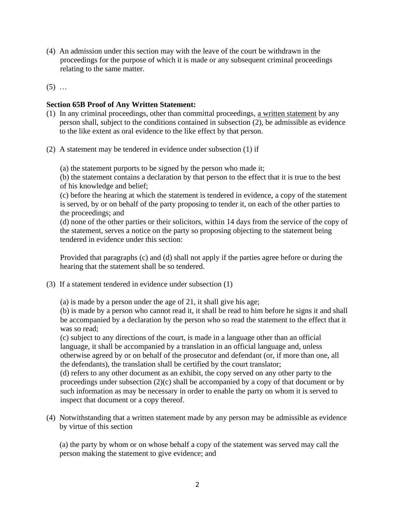- (4) An admission under this section may with the leave of the court be withdrawn in the proceedings for the purpose of which it is made or any subsequent criminal proceedings relating to the same matter.
- $(5)$  ...

#### **Section 65B Proof of Any Written Statement:**

- (1) In any criminal proceedings, other than committal proceedings, a written statement by any person shall, subject to the conditions contained in subsection (2), be admissible as evidence to the like extent as oral evidence to the like effect by that person.
- (2) A statement may be tendered in evidence under subsection (1) if

(a) the statement purports to be signed by the person who made it;

(b) the statement contains a declaration by that person to the effect that it is true to the best of his knowledge and belief;

(c) before the hearing at which the statement is tendered in evidence, a copy of the statement is served, by or on behalf of the party proposing to tender it, on each of the other parties to the proceedings; and

(d) none of the other parties or their solicitors, within 14 days from the service of the copy of the statement, serves a notice on the party so proposing objecting to the statement being tendered in evidence under this section:

Provided that paragraphs (c) and (d) shall not apply if the parties agree before or during the hearing that the statement shall be so tendered.

(3) If a statement tendered in evidence under subsection (1)

(a) is made by a person under the age of 21, it shall give his age;

(b) is made by a person who cannot read it, it shall be read to him before he signs it and shall be accompanied by a declaration by the person who so read the statement to the effect that it was so read;

(c) subject to any directions of the court, is made in a language other than an official language, it shall be accompanied by a translation in an official language and, unless otherwise agreed by or on behalf of the prosecutor and defendant (or, if more than one, all the defendants), the translation shall be certified by the court translator;

(d) refers to any other document as an exhibit, the copy served on any other party to the proceedings under subsection (2)(c) shall be accompanied by a copy of that document or by such information as may be necessary in order to enable the party on whom it is served to inspect that document or a copy thereof.

(4) Notwithstanding that a written statement made by any person may be admissible as evidence by virtue of this section

(a) the party by whom or on whose behalf a copy of the statement was served may call the person making the statement to give evidence; and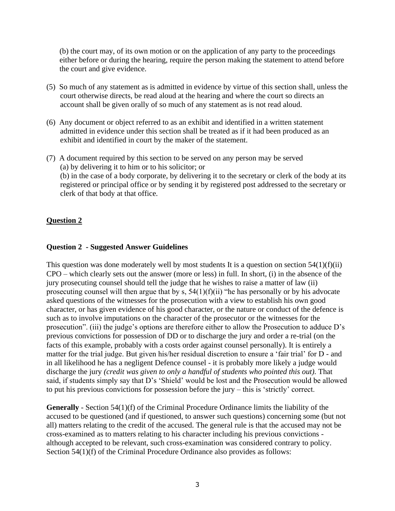(b) the court may, of its own motion or on the application of any party to the proceedings either before or during the hearing, require the person making the statement to attend before the court and give evidence.

- (5) So much of any statement as is admitted in evidence by virtue of this section shall, unless the court otherwise directs, be read aloud at the hearing and where the court so directs an account shall be given orally of so much of any statement as is not read aloud.
- (6) Any document or object referred to as an exhibit and identified in a written statement admitted in evidence under this section shall be treated as if it had been produced as an exhibit and identified in court by the maker of the statement.
- (7) A document required by this section to be served on any person may be served (a) by delivering it to him or to his solicitor; or (b) in the case of a body corporate, by delivering it to the secretary or clerk of the body at its registered or principal office or by sending it by registered post addressed to the secretary or clerk of that body at that office.

#### **Question 2**

#### **Question 2 - Suggested Answer Guidelines**

This question was done moderately well by most students It is a question on section  $54(1)(f)(ii)$ CPO – which clearly sets out the answer (more or less) in full. In short, (i) in the absence of the jury prosecuting counsel should tell the judge that he wishes to raise a matter of law (ii) prosecuting counsel will then argue that by s,  $54(1)(f)(ii)$  "he has personally or by his advocate asked questions of the witnesses for the prosecution with a view to establish his own good character, or has given evidence of his good character, or the nature or conduct of the defence is such as to involve imputations on the character of the prosecutor or the witnesses for the prosecution". (iii) the judge's options are therefore either to allow the Prosecution to adduce D's previous convictions for possession of DD or to discharge the jury and order a re-trial (on the facts of this example, probably with a costs order against counsel personally). It is entirely a matter for the trial judge. But given his/her residual discretion to ensure a 'fair trial' for D - and in all likelihood he has a negligent Defence counsel - it is probably more likely a judge would discharge the jury *(credit was given to only a handful of students who pointed this out).* That said, if students simply say that D's 'Shield' would be lost and the Prosecution would be allowed to put his previous convictions for possession before the jury – this is 'strictly' correct.

**Generally** - Section 54(1)(f) of the Criminal Procedure Ordinance limits the liability of the accused to be questioned (and if questioned, to answer such questions) concerning some (but not all) matters relating to the credit of the accused. The general rule is that the accused may not be cross-examined as to matters relating to his character including his previous convictions although accepted to be relevant, such cross-examination was considered contrary to policy. Section 54(1)(f) of the Criminal Procedure Ordinance also provides as follows: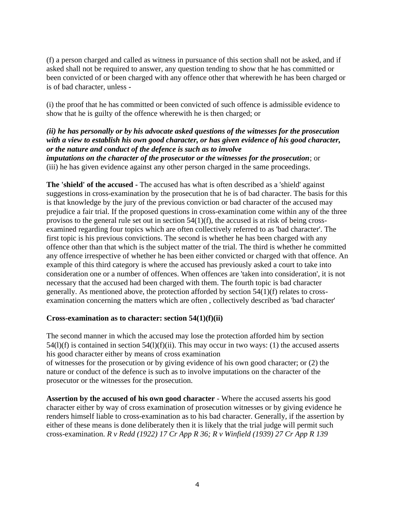(f) a person charged and called as witness in pursuance of this section shall not be asked, and if asked shall not be required to answer, any question tending to show that he has committed or been convicted of or been charged with any offence other that wherewith he has been charged or is of bad character, unless -

(i) the proof that he has committed or been convicted of such offence is admissible evidence to show that he is guilty of the offence wherewith he is then charged; or

# *(ii) he has personally or by his advocate asked questions of the witnesses for the prosecution with a view to establish his own good character, or has given evidence of his good character, or the nature and conduct of the defence is such as to involve*

*imputations on the character of the prosecutor or the witnesses for the prosecution*; or (iii) he has given evidence against any other person charged in the same proceedings.

**The 'shield' of the accused -** The accused has what is often described as a 'shield' against suggestions in cross-examination by the prosecution that he is of bad character. The basis for this is that knowledge by the jury of the previous conviction or bad character of the accused may prejudice a fair trial. If the proposed questions in cross-examination come within any of the three provisos to the general rule set out in section 54(1)(f), the accused is at risk of being crossexamined regarding four topics which are often collectively referred to as 'bad character'. The first topic is his previous convictions. The second is whether he has been charged with any offence other than that which is the subject matter of the trial. The third is whether he committed any offence irrespective of whether he has been either convicted or charged with that offence. An example of this third category is where the accused has previously asked a court to take into consideration one or a number of offences. When offences are 'taken into consideration', it is not necessary that the accused had been charged with them. The fourth topic is bad character generally. As mentioned above, the protection afforded by section 54(1)(f) relates to crossexamination concerning the matters which are often , collectively described as 'bad character'

## **Cross-examination as to character: section 54(1)(f)(ii)**

The second manner in which the accused may lose the protection afforded him by section  $54(1)(f)$  is contained in section  $54(1)(f)(ii)$ . This may occur in two ways: (1) the accused asserts his good character either by means of cross examination

of witnesses for the prosecution or by giving evidence of his own good character; or (2) the nature or conduct of the defence is such as to involve imputations on the character of the prosecutor or the witnesses for the prosecution.

**Assertion by the accused of his own good character** - Where the accused asserts his good character either by way of cross examination of prosecution witnesses or by giving evidence he renders himself liable to cross-examination as to his bad character. Generally, if the assertion by either of these means is done deliberately then it is likely that the trial judge will permit such cross-examination. *R v Redd (1922) 17 Cr App R 36; R v Winfield (1939) 27 Cr App R 139*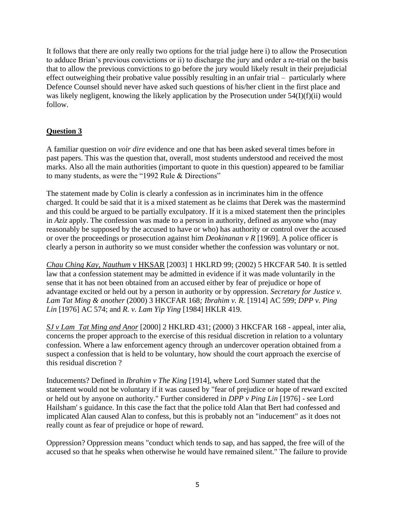It follows that there are only really two options for the trial judge here i) to allow the Prosecution to adduce Brian's previous convictions or ii) to discharge the jury and order a re-trial on the basis that to allow the previous convictions to go before the jury would likely result in their prejudicial effect outweighing their probative value possibly resulting in an unfair trial – particularly where Defence Counsel should never have asked such questions of his/her client in the first place and was likely negligent, knowing the likely application by the Prosecution under 54(I)(f)(ii) would follow.

# **Question 3**

A familiar question on *voir dire* evidence and one that has been asked several times before in past papers. This was the question that, overall, most students understood and received the most marks. Also all the main authorities (important to quote in this question) appeared to be familiar to many students, as were the "1992 Rule & Directions"

The statement made by Colin is clearly a confession as in incriminates him in the offence charged. It could be said that it is a mixed statement as he claims that Derek was the mastermind and this could be argued to be partially exculpatory. If it is a mixed statement then the principles in *Aziz* apply. The confession was made to a person in authority, defined as anyone who (may reasonably be supposed by the accused to have or who) has authority or control over the accused or over the proceedings or prosecution against him *Deokinanan v R* [1969]. A police officer is clearly a person in authority so we must consider whether the confession was voluntary or not.

*[Chau Ching Kay, Nauthum](http://legalref.judiciary.gov.hk/lrs/common/ju/ju_frame.jsp?DIS=25405&currpage=T)* v HKSAR [2003] 1 HKLRD 99; (2002) 5 HKCFAR 540. It is settled law that a confession statement may be admitted in evidence if it was made voluntarily in the sense that it has not been obtained from an accused either by fear of prejudice or hope of advantage excited or held out by a person in authority or by oppression. *Secretary for Justice v. Lam Tat Ming & another* (2000) 3 HKCFAR 168*; Ibrahim v. R.* [1914] AC 599; *DPP v. Ping Lin* [1976] AC 574; and *R. v. Lam Yip Ying* [1984] HKLR 419.

*[SJ v Lam Tat Ming and Anor](http://legalref.judiciary.gov.hk/lrs/common/ju/ju_frame.jsp?DIS=33993&currpage=T)* [2000] 2 HKLRD 431; (2000) 3 HKCFAR 168 - appeal, inter alia, concerns the proper approach to the exercise of this residual discretion in relation to a voluntary confession. Where a law enforcement agency through an undercover operation obtained from a suspect a confession that is held to be voluntary, how should the court approach the exercise of this residual discretion ?

Inducements? Defined in *Ibrahim v The King* [1914], where Lord Sumner stated that the statement would not be voluntary if it was caused by "fear of prejudice or hope of reward excited or held out by anyone on authority." Further considered in *DPP v Ping Lin* [1976] - see Lord Hailsham' s guidance. In this case the fact that the police told Alan that Bert had confessed and implicated Alan caused Alan to confess, but this is probably not an "inducement" as it does not really count as fear of prejudice or hope of reward.

Oppression? Oppression means "conduct which tends to sap, and has sapped, the free will of the accused so that he speaks when otherwise he would have remained silent." The failure to provide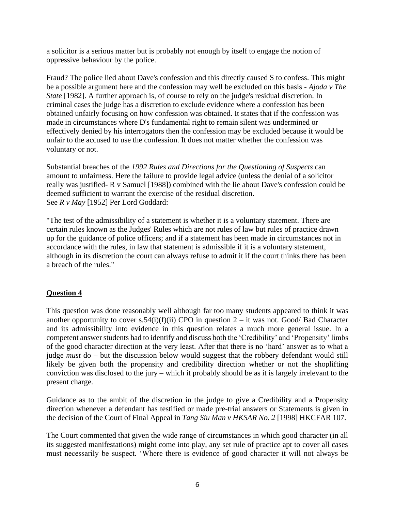a solicitor is a serious matter but is probably not enough by itself to engage the notion of oppressive behaviour by the police.

Fraud? The police lied about Dave's confession and this directly caused S to confess. This might be a possible argument here and the confession may well be excluded on this basis - *Ajoda v The State* [1982]. A further approach is, of course to rely on the judge's residual discretion. In criminal cases the judge has a discretion to exclude evidence where a confession has been obtained unfairly focusing on how confession was obtained. It states that if the confession was made in circumstances where D's fundamental right to remain silent was undermined or effectively denied by his interrogators then the confession may be excluded because it would be unfair to the accused to use the confession. It does not matter whether the confession was voluntary or not.

Substantial breaches of the *1992 Rules and Directions for the Questioning of Suspects* can amount to unfairness. Here the failure to provide legal advice (unless the denial of a solicitor really was justified- R v Samuel [1988]) combined with the lie about Dave's confession could be deemed sufficient to warrant the exercise of the residual discretion. See *R v May* [1952] Per Lord Goddard:

"The test of the admissibility of a statement is whether it is a voluntary statement. There are certain rules known as the Judges' Rules which are not rules of law but rules of practice drawn up for the guidance of police officers; and if a statement has been made in circumstances not in accordance with the rules, in law that statement is admissible if it is a voluntary statement, although in its discretion the court can always refuse to admit it if the court thinks there has been a breach of the rules."

## **Question 4**

This question was done reasonably well although far too many students appeared to think it was another opportunity to cover s.54(i)(f)(ii) CPO in question  $2 - it$  was not. Good/ Bad Character and its admissibility into evidence in this question relates a much more general issue. In a competent answer students had to identify and discuss both the 'Credibility' and 'Propensity' limbs of the good character direction at the very least. After that there is no 'hard' answer as to what a judge *must* do – but the discussion below would suggest that the robbery defendant would still likely be given both the propensity and credibility direction whether or not the shoplifting conviction was disclosed to the jury – which it probably should be as it is largely irrelevant to the present charge.

Guidance as to the ambit of the discretion in the judge to give a Credibility and a Propensity direction whenever a defendant has testified or made pre-trial answers or Statements is given in the decision of the Court of Final Appeal in *Tang Siu Man v HKSAR No. 2* [1998] HKCFAR 107.

The Court commented that given the wide range of circumstances in which good character (in all its suggested manifestations) might come into play, any set rule of practice apt to cover all cases must necessarily be suspect. 'Where there is evidence of good character it will not always be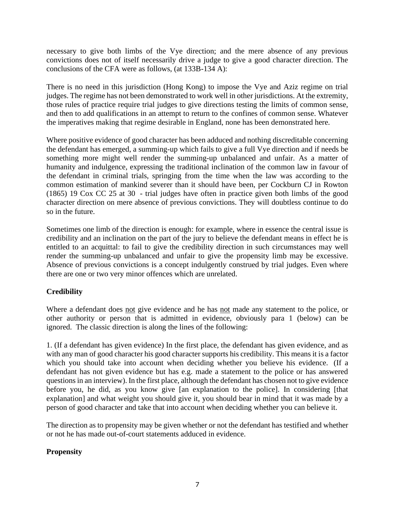necessary to give both limbs of the Vye direction; and the mere absence of any previous convictions does not of itself necessarily drive a judge to give a good character direction. The conclusions of the CFA were as follows, (at 133B-134 A):

There is no need in this jurisdiction (Hong Kong) to impose the Vye and Aziz regime on trial judges. The regime has not been demonstrated to work well in other jurisdictions. At the extremity, those rules of practice require trial judges to give directions testing the limits of common sense, and then to add qualifications in an attempt to return to the confines of common sense. Whatever the imperatives making that regime desirable in England, none has been demonstrated here.

Where positive evidence of good character has been adduced and nothing discreditable concerning the defendant has emerged, a summing-up which fails to give a full Vye direction and if needs be something more might well render the summing-up unbalanced and unfair. As a matter of humanity and indulgence, expressing the traditional inclination of the common law in favour of the defendant in criminal trials, springing from the time when the law was according to the common estimation of mankind severer than it should have been, per Cockburn CJ in Rowton (1865) 19 Cox CC 25 at 30 - trial judges have often in practice given both limbs of the good character direction on mere absence of previous convictions. They will doubtless continue to do so in the future.

Sometimes one limb of the direction is enough: for example, where in essence the central issue is credibility and an inclination on the part of the jury to believe the defendant means in effect he is entitled to an acquittal: to fail to give the credibility direction in such circumstances may well render the summing-up unbalanced and unfair to give the propensity limb may be excessive. Absence of previous convictions is a concept indulgently construed by trial judges. Even where there are one or two very minor offences which are unrelated.

# **Credibility**

Where a defendant does not give evidence and he has not made any statement to the police, or other authority or person that is admitted in evidence, obviously para 1 (below) can be ignored. The classic direction is along the lines of the following:

1. (If a defendant has given evidence) In the first place, the defendant has given evidence, and as with any man of good character his good character supports his credibility. This means it is a factor which you should take into account when deciding whether you believe his evidence. (If a defendant has not given evidence but has e.g. made a statement to the police or has answered questions in an interview). In the first place, although the defendant has chosen not to give evidence before you, he did, as you know give [an explanation to the police]. In considering [that explanation] and what weight you should give it, you should bear in mind that it was made by a person of good character and take that into account when deciding whether you can believe it.

The direction as to propensity may be given whether or not the defendant has testified and whether or not he has made out-of-court statements adduced in evidence.

## **Propensity**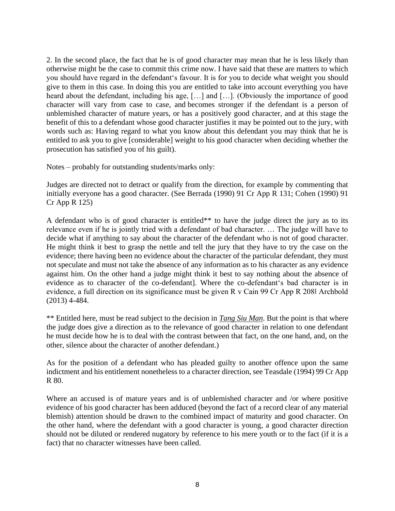2. In the second place, the fact that he is of good character may mean that he is less likely than otherwise might be the case to commit this crime now. I have said that these are matters to which you should have regard in the defendant's favour. It is for you to decide what weight you should give to them in this case. In doing this you are entitled to take into account everything you have heard about the defendant, including his age, […] and […]. (Obviously the importance of good character will vary from case to case, and becomes stronger if the defendant is a person of unblemished character of mature years, or has a positively good character, and at this stage the benefit of this to a defendant whose good character justifies it may be pointed out to the jury, with words such as: Having regard to what you know about this defendant you may think that he is entitled to ask you to give [considerable] weight to his good character when deciding whether the prosecution has satisfied you of his guilt).

Notes – probably for outstanding students/marks only:

Judges are directed not to detract or qualify from the direction, for example by commenting that initially everyone has a good character. (See Berrada (1990) 91 Cr App R 131; Cohen (1990) 91 Cr App R 125)

A defendant who is of good character is entitled\*\* to have the judge direct the jury as to its relevance even if he is jointly tried with a defendant of bad character. … The judge will have to decide what if anything to say about the character of the defendant who is not of good character. He might think it best to grasp the nettle and tell the jury that they have to try the case on the evidence; there having been no evidence about the character of the particular defendant, they must not speculate and must not take the absence of any information as to his character as any evidence against him. On the other hand a judge might think it best to say nothing about the absence of evidence as to character of the co-defendant]. Where the co-defendant's bad character is in evidence, a full direction on its significance must be given R v Cain 99 Cr App R 208‖ Archbold (2013) 4-484.

\*\* Entitled here, must be read subject to the decision in *Tang Siu Man*. But the point is that where the judge does give a direction as to the relevance of good character in relation to one defendant he must decide how he is to deal with the contrast between that fact, on the one hand, and, on the other, silence about the character of another defendant.)

As for the position of a defendant who has pleaded guilty to another offence upon the same indictment and his entitlement nonetheless to a character direction, see Teasdale (1994) 99 Cr App R 80.

Where an accused is of mature years and is of unblemished character and /or where positive evidence of his good character has been adduced (beyond the fact of a record clear of any material blemish) attention should be drawn to the combined impact of maturity and good character. On the other hand, where the defendant with a good character is young, a good character direction should not be diluted or rendered nugatory by reference to his mere youth or to the fact (if it is a fact) that no character witnesses have been called.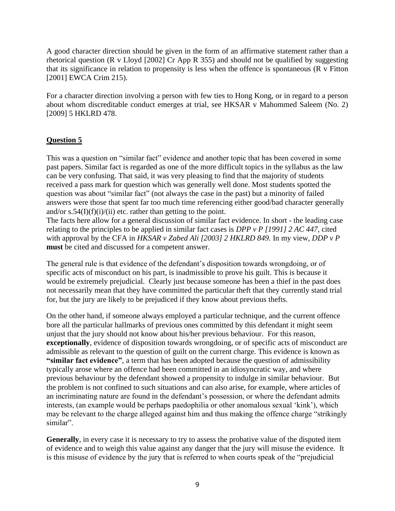A good character direction should be given in the form of an affirmative statement rather than a rhetorical question (R v Lloyd [2002] Cr App R 355) and should not be qualified by suggesting that its significance in relation to propensity is less when the offence is spontaneous (R v Fitton [2001] EWCA Crim 215).

For a character direction involving a person with few ties to Hong Kong, or in regard to a person about whom discreditable conduct emerges at trial, see HKSAR v Mahommed Saleem (No. 2) [2009] 5 HKLRD 478.

## **Question 5**

This was a question on "similar fact" evidence and another topic that has been covered in some past papers. Similar fact is regarded as one of the more difficult topics in the syllabus as the law can be very confusing. That said, it was very pleasing to find that the majority of students received a pass mark for question which was generally well done. Most students spotted the question was about "similar fact" (not always the case in the past) but a minority of failed answers were those that spent far too much time referencing either good/bad character generally and/or  $s.54(I)(f)(i)/(ii)$  etc. rather than getting to the point.

The facts here allow for a general discussion of similar fact evidence. In short - the leading case relating to the principles to be applied in similar fact cases is *DPP v P [1991] 2 AC 447*, cited with approval by the CFA in *HKSAR v Zabed Ali [2003] 2 HKLRD 849.* In my view, *DDP v P* **must** be cited and discussed for a competent answer.

The general rule is that evidence of the defendant's disposition towards wrongdoing, or of specific acts of misconduct on his part, is inadmissible to prove his guilt. This is because it would be extremely prejudicial. Clearly just because someone has been a thief in the past does not necessarily mean that they have committed the particular theft that they currently stand trial for, but the jury are likely to be prejudiced if they know about previous thefts.

On the other hand, if someone always employed a particular technique, and the current offence bore all the particular hallmarks of previous ones committed by this defendant it might seem unjust that the jury should not know about his/her previous behaviour. For this reason, **exceptionally**, evidence of disposition towards wrongdoing, or of specific acts of misconduct are admissible as relevant to the question of guilt on the current charge. This evidence is known as **"similar fact evidence"**, a term that has been adopted because the question of admissibility typically arose where an offence had been committed in an idiosyncratic way, and where previous behaviour by the defendant showed a propensity to indulge in similar behaviour. But the problem is not confined to such situations and can also arise, for example, where articles of an incriminating nature are found in the defendant's possession, or where the defendant admits interests, (an example would be perhaps paedophilia or other anomalous sexual 'kink'), which may be relevant to the charge alleged against him and thus making the offence charge "strikingly similar".

**Generally**, in every case it is necessary to try to assess the probative value of the disputed item of evidence and to weigh this value against any danger that the jury will misuse the evidence. It is this misuse of evidence by the jury that is referred to when courts speak of the "prejudicial